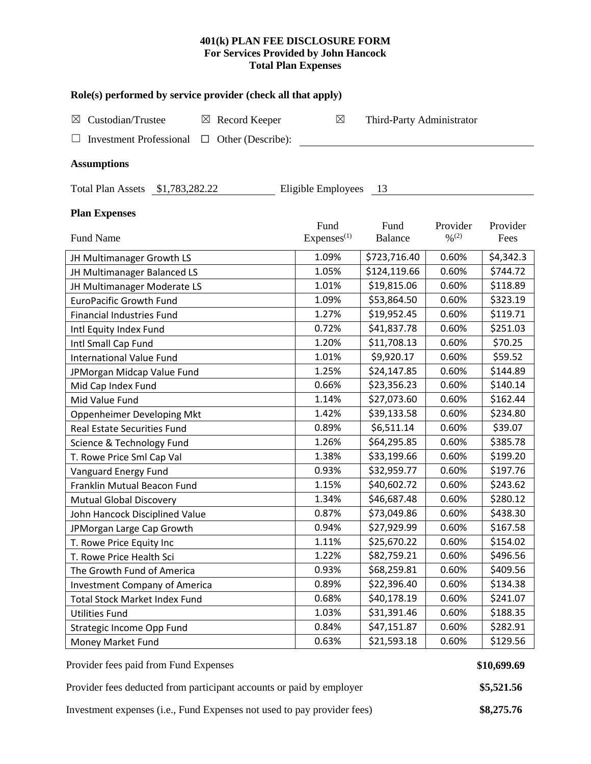### **401(k) PLAN FEE DISCLOSURE FORM For Services Provided by John Hancock Total Plan Expenses**

| Role(s) performed by service provider (check all that apply)  |                                |                           |                               |                  |  |  |  |  |  |  |  |  |
|---------------------------------------------------------------|--------------------------------|---------------------------|-------------------------------|------------------|--|--|--|--|--|--|--|--|
| Custodian/Trustee<br>$\boxtimes$ Record Keeper<br>$\boxtimes$ | $\boxtimes$                    | Third-Party Administrator |                               |                  |  |  |  |  |  |  |  |  |
| <b>Investment Professional</b><br>Other (Describe):<br>□      |                                |                           |                               |                  |  |  |  |  |  |  |  |  |
| <b>Assumptions</b>                                            |                                |                           |                               |                  |  |  |  |  |  |  |  |  |
| Total Plan Assets \$1,783,282.22<br>Eligible Employees<br>13  |                                |                           |                               |                  |  |  |  |  |  |  |  |  |
| <b>Plan Expenses</b>                                          |                                |                           |                               |                  |  |  |  |  |  |  |  |  |
| Fund Name                                                     | Fund<br>Express <sup>(1)</sup> | Fund<br><b>Balance</b>    | Provider<br>$\frac{0}{2}$ (2) | Provider<br>Fees |  |  |  |  |  |  |  |  |
| JH Multimanager Growth LS                                     | 1.09%                          | \$723,716.40              | 0.60%                         | \$4,342.3        |  |  |  |  |  |  |  |  |
| JH Multimanager Balanced LS                                   | 1.05%                          | \$124,119.66              | 0.60%                         | \$744.72         |  |  |  |  |  |  |  |  |
| JH Multimanager Moderate LS                                   | 1.01%                          | \$19,815.06               | 0.60%                         | \$118.89         |  |  |  |  |  |  |  |  |
| <b>EuroPacific Growth Fund</b>                                | 1.09%                          | \$53,864.50               | 0.60%                         | \$323.19         |  |  |  |  |  |  |  |  |
| <b>Financial Industries Fund</b>                              | 1.27%                          | \$19,952.45               | 0.60%                         | \$119.71         |  |  |  |  |  |  |  |  |
| Intl Equity Index Fund                                        | 0.72%                          | \$41,837.78               | 0.60%                         | \$251.03         |  |  |  |  |  |  |  |  |
| Intl Small Cap Fund                                           | 1.20%                          | \$11,708.13               | 0.60%                         | \$70.25          |  |  |  |  |  |  |  |  |
| <b>International Value Fund</b>                               | 1.01%                          | \$9,920.17                | 0.60%                         | \$59.52          |  |  |  |  |  |  |  |  |
| JPMorgan Midcap Value Fund                                    | 1.25%                          | \$24,147.85               | 0.60%                         | \$144.89         |  |  |  |  |  |  |  |  |
| Mid Cap Index Fund                                            | 0.66%                          | \$23,356.23               | 0.60%                         | \$140.14         |  |  |  |  |  |  |  |  |
| Mid Value Fund                                                | 1.14%                          | \$27,073.60               | 0.60%                         | \$162.44         |  |  |  |  |  |  |  |  |
| Oppenheimer Developing Mkt                                    | 1.42%                          | \$39,133.58               | 0.60%                         | \$234.80         |  |  |  |  |  |  |  |  |
| <b>Real Estate Securities Fund</b>                            | 0.89%                          | \$6,511.14                | 0.60%                         | \$39.07          |  |  |  |  |  |  |  |  |
| Science & Technology Fund                                     | 1.26%                          | \$64,295.85               | 0.60%                         | \$385.78         |  |  |  |  |  |  |  |  |
| T. Rowe Price Sml Cap Val                                     | 1.38%                          | \$33,199.66               | 0.60%                         | \$199.20         |  |  |  |  |  |  |  |  |
| Vanguard Energy Fund                                          | 0.93%                          | \$32,959.77               | 0.60%                         | \$197.76         |  |  |  |  |  |  |  |  |
| Franklin Mutual Beacon Fund                                   | 1.15%                          | \$40,602.72               | 0.60%                         | \$243.62         |  |  |  |  |  |  |  |  |
| <b>Mutual Global Discovery</b>                                | 1.34%                          | \$46,687.48               | 0.60%                         | \$280.12         |  |  |  |  |  |  |  |  |
| John Hancock Disciplined Value                                | 0.87%                          | \$73,049.86               | 0.60%                         | \$438.30         |  |  |  |  |  |  |  |  |
| JPMorgan Large Cap Growth                                     | 0.94%                          | \$27,929.99               | 0.60%                         | \$167.58         |  |  |  |  |  |  |  |  |
| T. Rowe Price Equity Inc                                      | 1.11%                          | \$25,670.22               | 0.60%                         | \$154.02         |  |  |  |  |  |  |  |  |
| T. Rowe Price Health Sci                                      | 1.22%                          | \$82,759.21               | 0.60%                         | \$496.56         |  |  |  |  |  |  |  |  |
| The Growth Fund of America                                    | 0.93%                          | \$68,259.81               | 0.60%                         | \$409.56         |  |  |  |  |  |  |  |  |
| <b>Investment Company of America</b>                          | 0.89%                          | \$22,396.40               | 0.60%                         | \$134.38         |  |  |  |  |  |  |  |  |
| <b>Total Stock Market Index Fund</b>                          | 0.68%                          | \$40,178.19               | 0.60%                         | \$241.07         |  |  |  |  |  |  |  |  |
| <b>Utilities Fund</b>                                         | 1.03%                          | \$31,391.46               | 0.60%                         | \$188.35         |  |  |  |  |  |  |  |  |
| Strategic Income Opp Fund                                     | 0.84%                          | \$47,151.87               | 0.60%                         | \$282.91         |  |  |  |  |  |  |  |  |
| Money Market Fund                                             | 0.63%                          | \$21,593.18               | 0.60%                         | \$129.56         |  |  |  |  |  |  |  |  |

Provider fees paid from Fund Expenses **\$10,699.69 \$10,699.69** 

Provider fees deducted from participant accounts or paid by employer **\$5,521.56**

Investment expenses (i.e., Fund Expenses not used to pay provider fees) **\$8,275.76**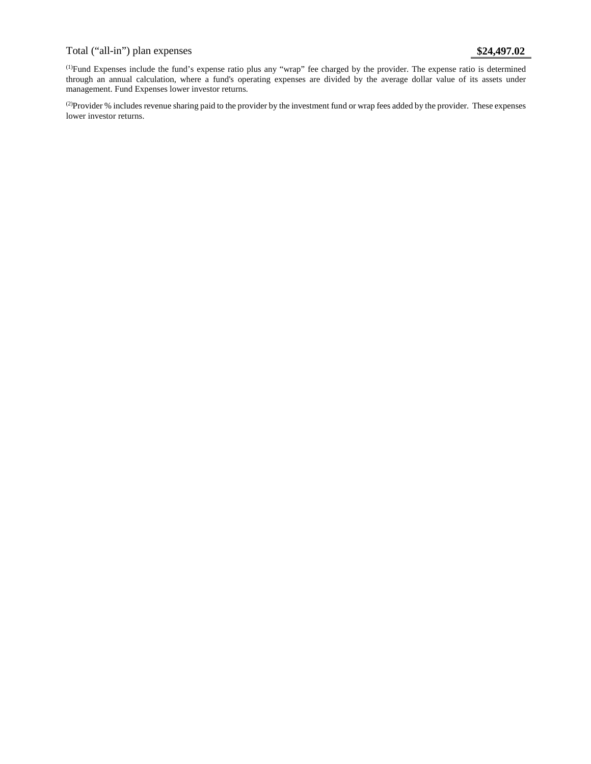# Total ("all-in") plan expenses **\$24,497.02**

(1) Fund Expenses include the fund's expense ratio plus any "wrap" fee charged by the provider. The expense ratio is determined through an annual calculation, where a fund's operating expenses are divided by the average dollar value of its assets under management. Fund Expenses lower investor returns.

(2) Provider % includes revenue sharing paid to the provider by the investment fund or wrap fees added by the provider. These expenses lower investor returns.